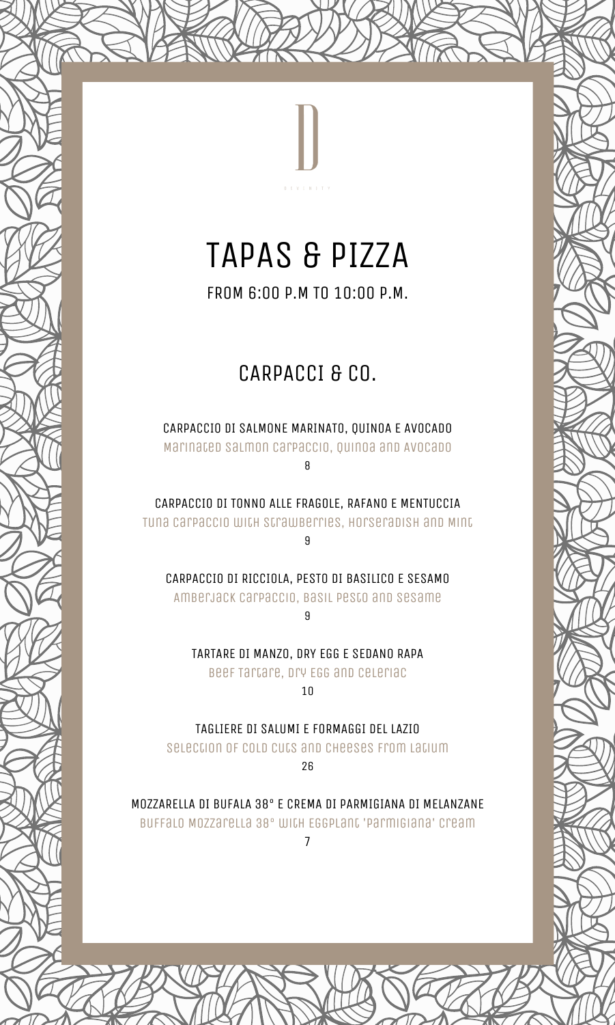# TAPAS & PIZZA

FROM 6:00 P.M TO 10:00 P.M.

## CARPACCI & CO.

CARPACCIO DI SALMONE MARINATO, QUINOA E AVOCADO Marinated Salmon Carpaccio, Quinoa and Avocado

8

CARPACCIO DI TONNO ALLE FRAGOLE, RAFANO E MENTUCCIA Tuna Carpaccio with Strawberries, Horseradish and Mint

9

CARPACCIO DI RICCIOLA, PESTO DI BASILICO E SESAMO Amberjack Carpaccio, Basil Pesto and Sesame

9

TARTARE DI MANZO, DRY EGG E SEDANO RAPA Beef Tartare, Dry Egg and Celeriac

10

TAGLIERE DI SALUMI E FORMAGGI DEL LAZIO Selection of Cold Cuts and Cheeses from Latium 26

MOZZARELLA DI BUFALA 38° E CREMA DI PARMIGIANA DI MELANZANE Buffalo Mozzarella 38° with Eggplant 'Parmigiana' Cream 7